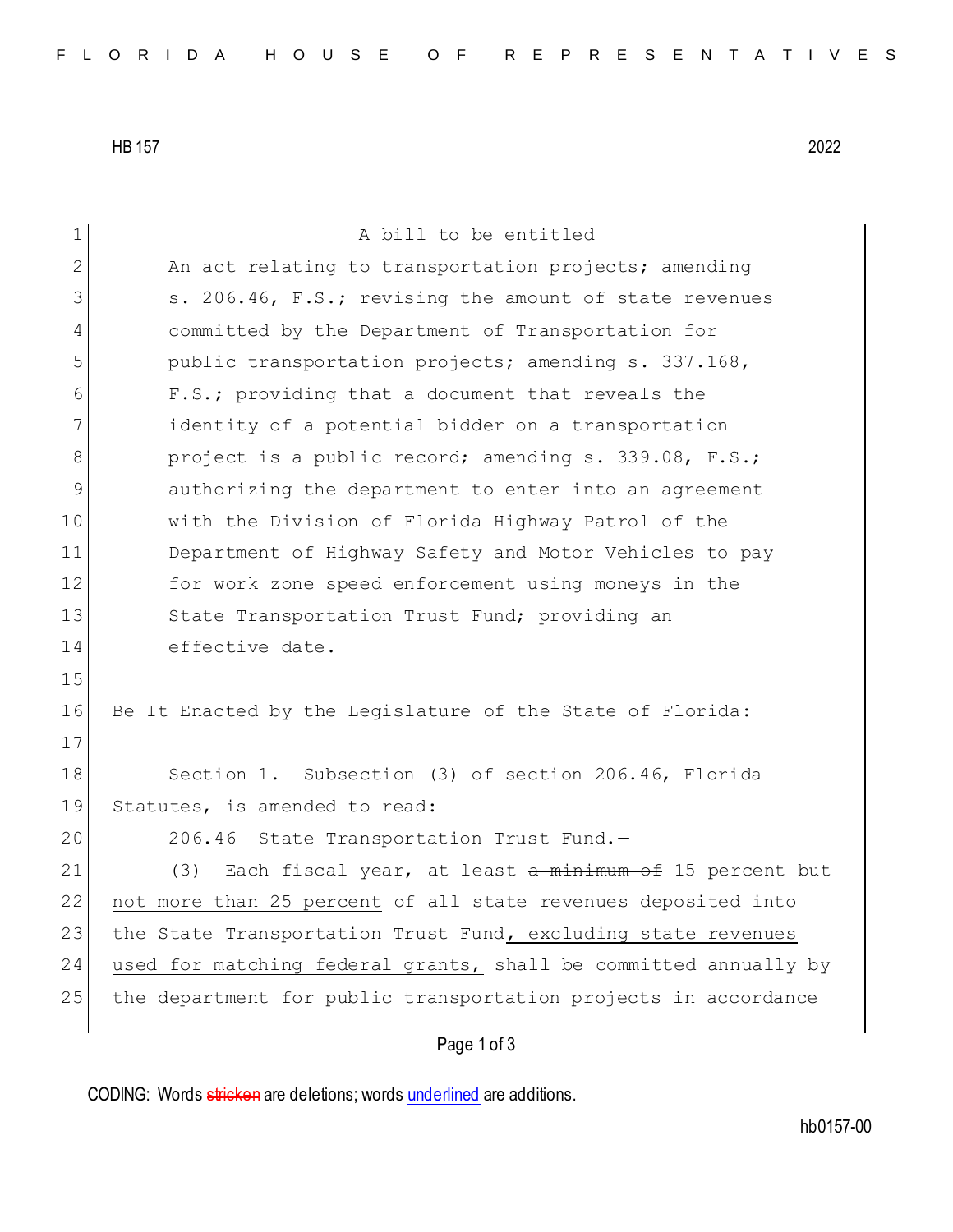HB 157 2022

Page 1 of 3 1 A bill to be entitled 2 An act relating to transportation projects; amending 3 s. 206.46, F.S.; revising the amount of state revenues 4 committed by the Department of Transportation for 5 public transportation projects; amending s. 337.168, 6 F.S.; providing that a document that reveals the 7 identity of a potential bidder on a transportation 8 project is a public record; amending s. 339.08, F.S.; 9 authorizing the department to enter into an agreement 10 with the Division of Florida Highway Patrol of the 11 Department of Highway Safety and Motor Vehicles to pay 12 for work zone speed enforcement using moneys in the 13 State Transportation Trust Fund; providing an 14 effective date. 15 16 Be It Enacted by the Legislature of the State of Florida: 17 18 Section 1. Subsection (3) of section 206.46, Florida 19 Statutes, is amended to read: 20 206.46 State Transportation Trust Fund.-21 (3) Each fiscal year, at least a minimum of 15 percent but 22 not more than 25 percent of all state revenues deposited into 23 the State Transportation Trust Fund, excluding state revenues 24 used for matching federal grants, shall be committed annually by 25 the department for public transportation projects in accordance

CODING: Words stricken are deletions; words underlined are additions.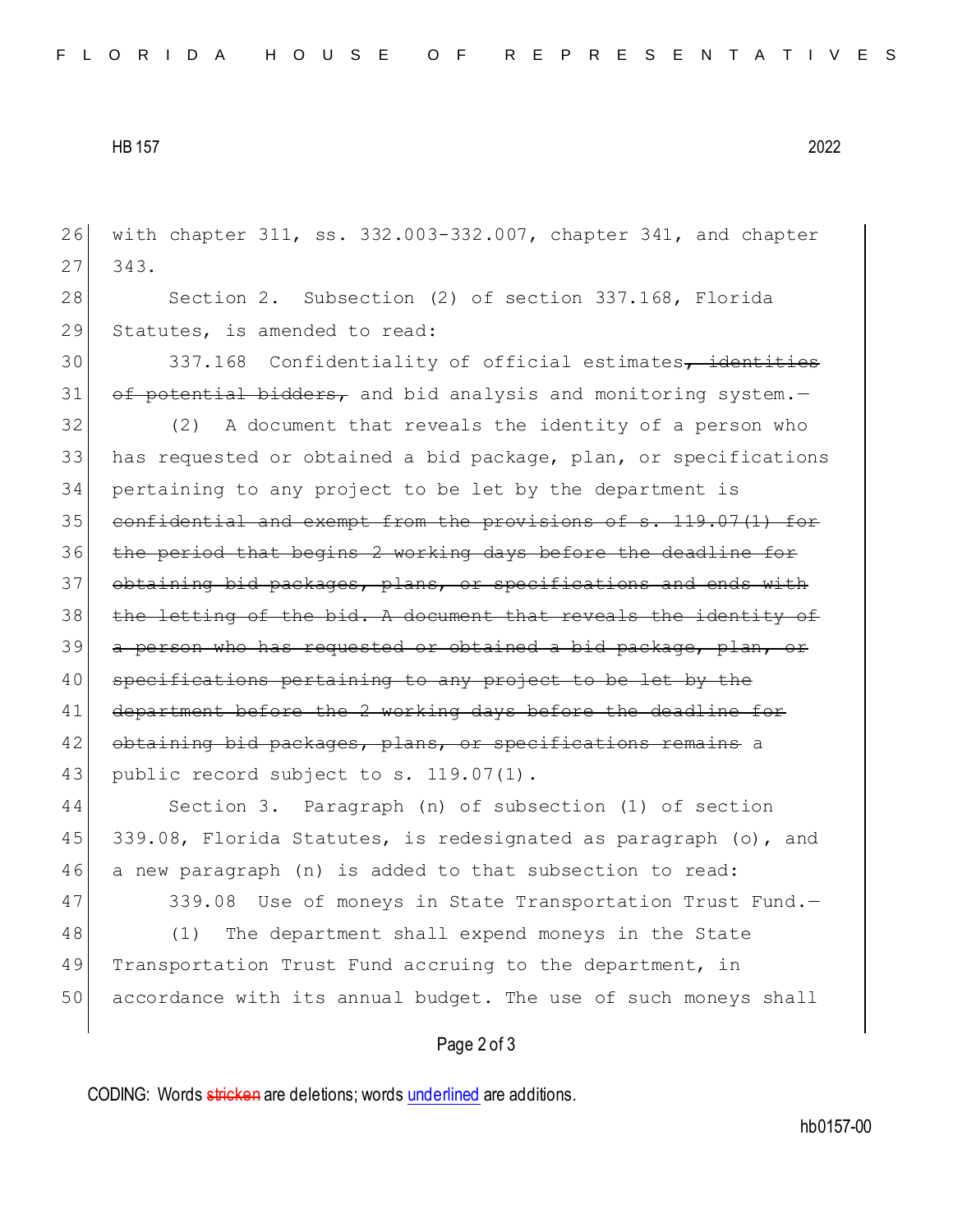HB 157 2022

26 with chapter 311, ss. 332.003-332.007, chapter 341, and chapter 27 343. 28 Section 2. Subsection (2) of section 337.168, Florida 29 Statutes, is amended to read: 30 337.168 Confidentiality of official estimates, identities 31  $\sigma$  of potential bidders, and bid analysis and monitoring system. 32 (2) A document that reveals the identity of a person who 33 has requested or obtained a bid package, plan, or specifications 34 pertaining to any project to be let by the department is 35 confidential and exempt from the provisions of s. 119.07(1) for 36 the period that begins 2 working days before the deadline for 37 obtaining bid packages, plans, or specifications and ends with 38 the letting of the bid. A document that reveals the identity of 39 a person who has requested or obtained a bid package, plan, or 40 specifications pertaining to any project to be let by the 41 department before the 2 working days before the deadline for 42 obtaining bid packages, plans, or specifications remains a 43 public record subject to s. 119.07(1). 44 Section 3. Paragraph (n) of subsection (1) of section 45 339.08, Florida Statutes, is redesignated as paragraph (o), and 46 a new paragraph (n) is added to that subsection to read: 47 339.08 Use of moneys in State Transportation Trust Fund.-48 (1) The department shall expend moneys in the State 49 Transportation Trust Fund accruing to the department, in

## Page 2 of 3

50 accordance with its annual budget. The use of such moneys shall

CODING: Words stricken are deletions; words underlined are additions.